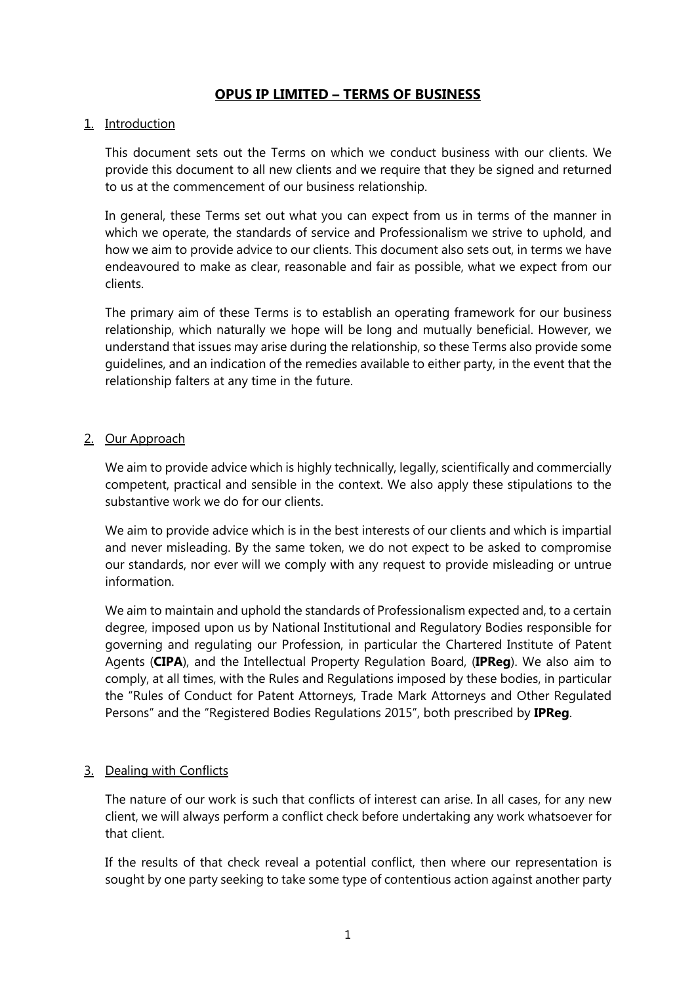# **OPUS IP LIMITED – TERMS OF BUSINESS**

### 1. Introduction

This document sets out the Terms on which we conduct business with our clients. We provide this document to all new clients and we require that they be signed and returned to us at the commencement of our business relationship.

In general, these Terms set out what you can expect from us in terms of the manner in which we operate, the standards of service and Professionalism we strive to uphold, and how we aim to provide advice to our clients. This document also sets out, in terms we have endeavoured to make as clear, reasonable and fair as possible, what we expect from our clients.

The primary aim of these Terms is to establish an operating framework for our business relationship, which naturally we hope will be long and mutually beneficial. However, we understand that issues may arise during the relationship, so these Terms also provide some guidelines, and an indication of the remedies available to either party, in the event that the relationship falters at any time in the future.

## 2. Our Approach

We aim to provide advice which is highly technically, legally, scientifically and commercially competent, practical and sensible in the context. We also apply these stipulations to the substantive work we do for our clients.

We aim to provide advice which is in the best interests of our clients and which is impartial and never misleading. By the same token, we do not expect to be asked to compromise our standards, nor ever will we comply with any request to provide misleading or untrue information.

We aim to maintain and uphold the standards of Professionalism expected and, to a certain degree, imposed upon us by National Institutional and Regulatory Bodies responsible for governing and regulating our Profession, in particular the Chartered Institute of Patent Agents (**CIPA**), and the Intellectual Property Regulation Board, (**IPReg**). We also aim to comply, at all times, with the Rules and Regulations imposed by these bodies, in particular the "Rules of Conduct for Patent Attorneys, Trade Mark Attorneys and Other Regulated Persons" and the "Registered Bodies Regulations 2015", both prescribed by **IPReg**.

### 3. Dealing with Conflicts

The nature of our work is such that conflicts of interest can arise. In all cases, for any new client, we will always perform a conflict check before undertaking any work whatsoever for that client.

If the results of that check reveal a potential conflict, then where our representation is sought by one party seeking to take some type of contentious action against another party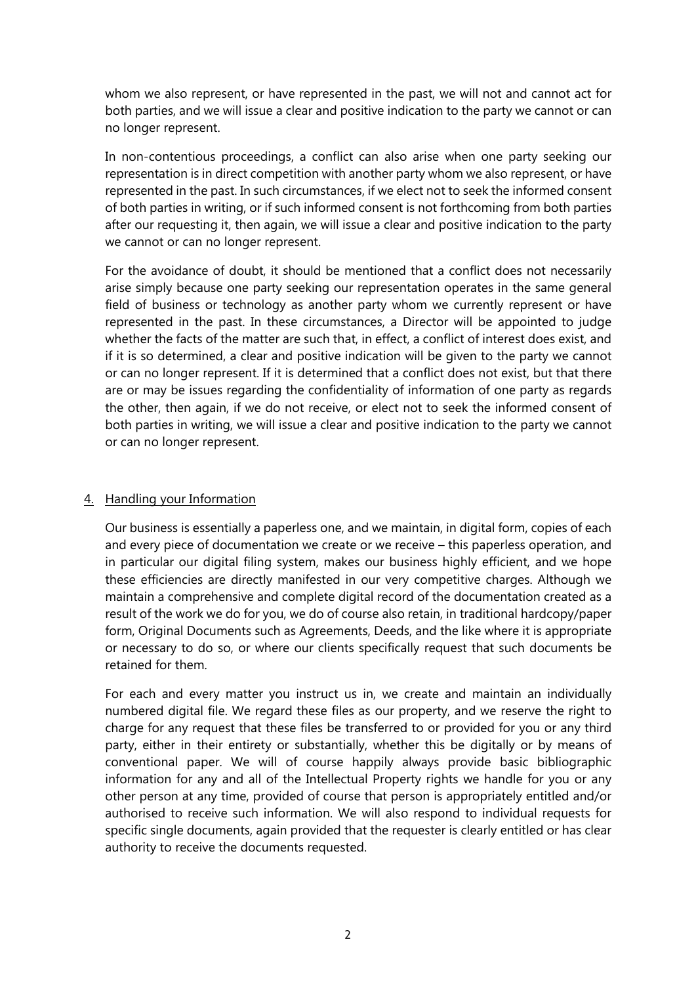whom we also represent, or have represented in the past, we will not and cannot act for both parties, and we will issue a clear and positive indication to the party we cannot or can no longer represent.

In non-contentious proceedings, a conflict can also arise when one party seeking our representation is in direct competition with another party whom we also represent, or have represented in the past. In such circumstances, if we elect not to seek the informed consent of both parties in writing, or if such informed consent is not forthcoming from both parties after our requesting it, then again, we will issue a clear and positive indication to the party we cannot or can no longer represent.

For the avoidance of doubt, it should be mentioned that a conflict does not necessarily arise simply because one party seeking our representation operates in the same general field of business or technology as another party whom we currently represent or have represented in the past. In these circumstances, a Director will be appointed to judge whether the facts of the matter are such that, in effect, a conflict of interest does exist, and if it is so determined, a clear and positive indication will be given to the party we cannot or can no longer represent. If it is determined that a conflict does not exist, but that there are or may be issues regarding the confidentiality of information of one party as regards the other, then again, if we do not receive, or elect not to seek the informed consent of both parties in writing, we will issue a clear and positive indication to the party we cannot or can no longer represent.

### 4. Handling your Information

Our business is essentially a paperless one, and we maintain, in digital form, copies of each and every piece of documentation we create or we receive – this paperless operation, and in particular our digital filing system, makes our business highly efficient, and we hope these efficiencies are directly manifested in our very competitive charges. Although we maintain a comprehensive and complete digital record of the documentation created as a result of the work we do for you, we do of course also retain, in traditional hardcopy/paper form, Original Documents such as Agreements, Deeds, and the like where it is appropriate or necessary to do so, or where our clients specifically request that such documents be retained for them.

For each and every matter you instruct us in, we create and maintain an individually numbered digital file. We regard these files as our property, and we reserve the right to charge for any request that these files be transferred to or provided for you or any third party, either in their entirety or substantially, whether this be digitally or by means of conventional paper. We will of course happily always provide basic bibliographic information for any and all of the Intellectual Property rights we handle for you or any other person at any time, provided of course that person is appropriately entitled and/or authorised to receive such information. We will also respond to individual requests for specific single documents, again provided that the requester is clearly entitled or has clear authority to receive the documents requested.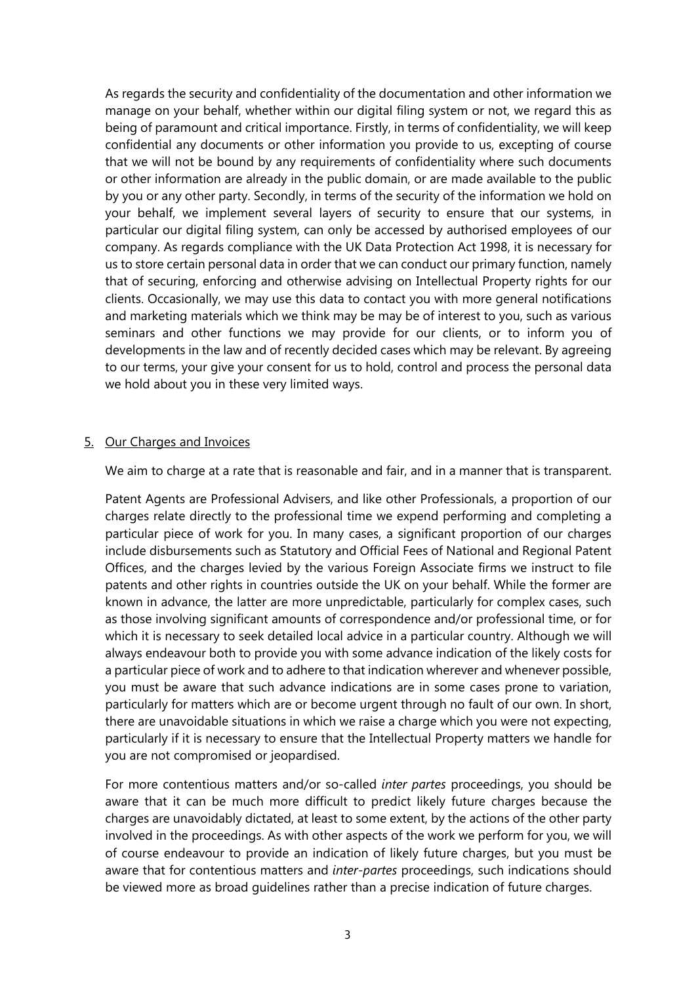As regards the security and confidentiality of the documentation and other information we manage on your behalf, whether within our digital filing system or not, we regard this as being of paramount and critical importance. Firstly, in terms of confidentiality, we will keep confidential any documents or other information you provide to us, excepting of course that we will not be bound by any requirements of confidentiality where such documents or other information are already in the public domain, or are made available to the public by you or any other party. Secondly, in terms of the security of the information we hold on your behalf, we implement several layers of security to ensure that our systems, in particular our digital filing system, can only be accessed by authorised employees of our company. As regards compliance with the UK Data Protection Act 1998, it is necessary for us to store certain personal data in order that we can conduct our primary function, namely that of securing, enforcing and otherwise advising on Intellectual Property rights for our clients. Occasionally, we may use this data to contact you with more general notifications and marketing materials which we think may be may be of interest to you, such as various seminars and other functions we may provide for our clients, or to inform you of developments in the law and of recently decided cases which may be relevant. By agreeing to our terms, your give your consent for us to hold, control and process the personal data we hold about you in these very limited ways.

### 5. Our Charges and Invoices

We aim to charge at a rate that is reasonable and fair, and in a manner that is transparent.

Patent Agents are Professional Advisers, and like other Professionals, a proportion of our charges relate directly to the professional time we expend performing and completing a particular piece of work for you. In many cases, a significant proportion of our charges include disbursements such as Statutory and Official Fees of National and Regional Patent Offices, and the charges levied by the various Foreign Associate firms we instruct to file patents and other rights in countries outside the UK on your behalf. While the former are known in advance, the latter are more unpredictable, particularly for complex cases, such as those involving significant amounts of correspondence and/or professional time, or for which it is necessary to seek detailed local advice in a particular country. Although we will always endeavour both to provide you with some advance indication of the likely costs for a particular piece of work and to adhere to that indication wherever and whenever possible, you must be aware that such advance indications are in some cases prone to variation, particularly for matters which are or become urgent through no fault of our own. In short, there are unavoidable situations in which we raise a charge which you were not expecting, particularly if it is necessary to ensure that the Intellectual Property matters we handle for you are not compromised or jeopardised.

For more contentious matters and/or so-called *inter partes* proceedings, you should be aware that it can be much more difficult to predict likely future charges because the charges are unavoidably dictated, at least to some extent, by the actions of the other party involved in the proceedings. As with other aspects of the work we perform for you, we will of course endeavour to provide an indication of likely future charges, but you must be aware that for contentious matters and *inter-partes* proceedings, such indications should be viewed more as broad guidelines rather than a precise indication of future charges.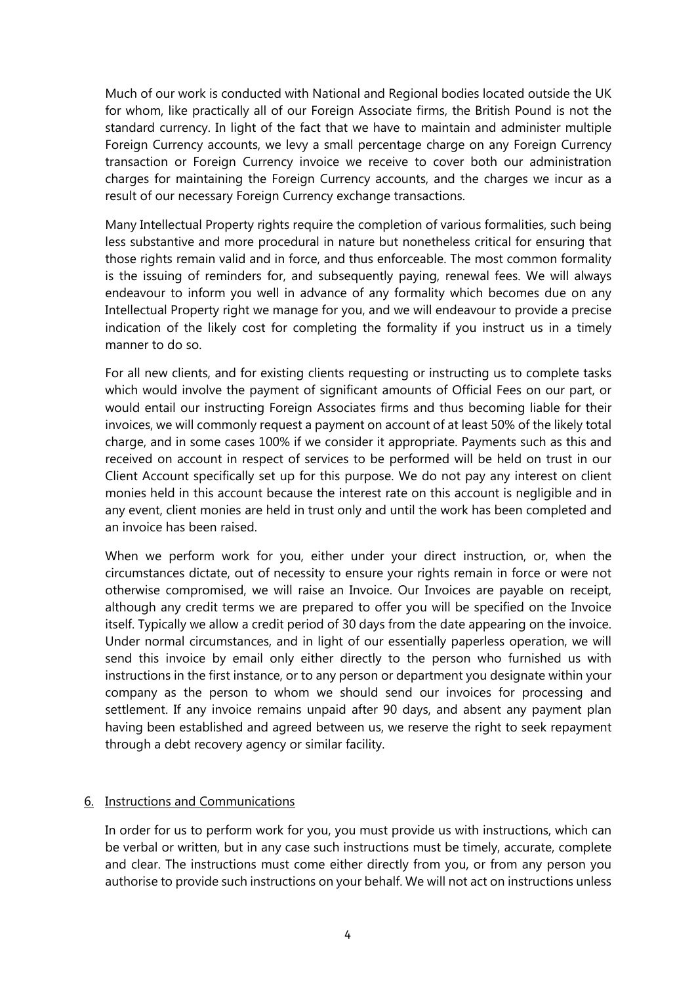Much of our work is conducted with National and Regional bodies located outside the UK for whom, like practically all of our Foreign Associate firms, the British Pound is not the standard currency. In light of the fact that we have to maintain and administer multiple Foreign Currency accounts, we levy a small percentage charge on any Foreign Currency transaction or Foreign Currency invoice we receive to cover both our administration charges for maintaining the Foreign Currency accounts, and the charges we incur as a result of our necessary Foreign Currency exchange transactions.

Many Intellectual Property rights require the completion of various formalities, such being less substantive and more procedural in nature but nonetheless critical for ensuring that those rights remain valid and in force, and thus enforceable. The most common formality is the issuing of reminders for, and subsequently paying, renewal fees. We will always endeavour to inform you well in advance of any formality which becomes due on any Intellectual Property right we manage for you, and we will endeavour to provide a precise indication of the likely cost for completing the formality if you instruct us in a timely manner to do so.

For all new clients, and for existing clients requesting or instructing us to complete tasks which would involve the payment of significant amounts of Official Fees on our part, or would entail our instructing Foreign Associates firms and thus becoming liable for their invoices, we will commonly request a payment on account of at least 50% of the likely total charge, and in some cases 100% if we consider it appropriate. Payments such as this and received on account in respect of services to be performed will be held on trust in our Client Account specifically set up for this purpose. We do not pay any interest on client monies held in this account because the interest rate on this account is negligible and in any event, client monies are held in trust only and until the work has been completed and an invoice has been raised.

When we perform work for you, either under your direct instruction, or, when the circumstances dictate, out of necessity to ensure your rights remain in force or were not otherwise compromised, we will raise an Invoice. Our Invoices are payable on receipt, although any credit terms we are prepared to offer you will be specified on the Invoice itself. Typically we allow a credit period of 30 days from the date appearing on the invoice. Under normal circumstances, and in light of our essentially paperless operation, we will send this invoice by email only either directly to the person who furnished us with instructions in the first instance, or to any person or department you designate within your company as the person to whom we should send our invoices for processing and settlement. If any invoice remains unpaid after 90 days, and absent any payment plan having been established and agreed between us, we reserve the right to seek repayment through a debt recovery agency or similar facility.

### 6. Instructions and Communications

In order for us to perform work for you, you must provide us with instructions, which can be verbal or written, but in any case such instructions must be timely, accurate, complete and clear. The instructions must come either directly from you, or from any person you authorise to provide such instructions on your behalf. We will not act on instructions unless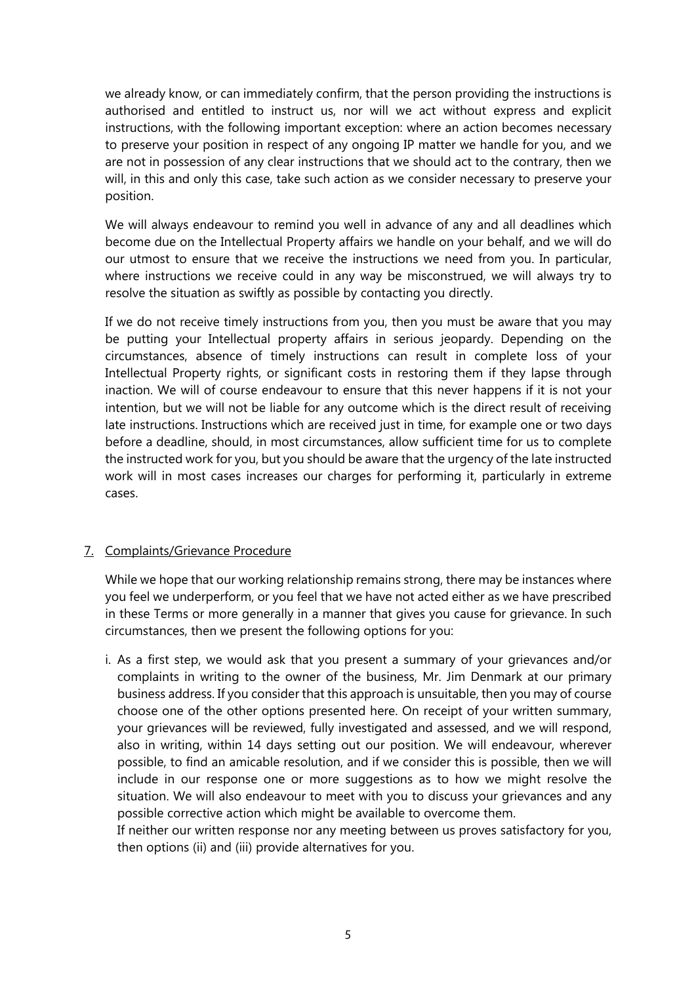we already know, or can immediately confirm, that the person providing the instructions is authorised and entitled to instruct us, nor will we act without express and explicit instructions, with the following important exception: where an action becomes necessary to preserve your position in respect of any ongoing IP matter we handle for you, and we are not in possession of any clear instructions that we should act to the contrary, then we will, in this and only this case, take such action as we consider necessary to preserve your position.

We will always endeavour to remind you well in advance of any and all deadlines which become due on the Intellectual Property affairs we handle on your behalf, and we will do our utmost to ensure that we receive the instructions we need from you. In particular, where instructions we receive could in any way be misconstrued, we will always try to resolve the situation as swiftly as possible by contacting you directly.

If we do not receive timely instructions from you, then you must be aware that you may be putting your Intellectual property affairs in serious jeopardy. Depending on the circumstances, absence of timely instructions can result in complete loss of your Intellectual Property rights, or significant costs in restoring them if they lapse through inaction. We will of course endeavour to ensure that this never happens if it is not your intention, but we will not be liable for any outcome which is the direct result of receiving late instructions. Instructions which are received just in time, for example one or two days before a deadline, should, in most circumstances, allow sufficient time for us to complete the instructed work for you, but you should be aware that the urgency of the late instructed work will in most cases increases our charges for performing it, particularly in extreme cases.

# 7. Complaints/Grievance Procedure

While we hope that our working relationship remains strong, there may be instances where you feel we underperform, or you feel that we have not acted either as we have prescribed in these Terms or more generally in a manner that gives you cause for grievance. In such circumstances, then we present the following options for you:

i. As a first step, we would ask that you present a summary of your grievances and/or complaints in writing to the owner of the business, Mr. Jim Denmark at our primary business address. If you consider that this approach is unsuitable, then you may of course choose one of the other options presented here. On receipt of your written summary, your grievances will be reviewed, fully investigated and assessed, and we will respond, also in writing, within 14 days setting out our position. We will endeavour, wherever possible, to find an amicable resolution, and if we consider this is possible, then we will include in our response one or more suggestions as to how we might resolve the situation. We will also endeavour to meet with you to discuss your grievances and any possible corrective action which might be available to overcome them.

If neither our written response nor any meeting between us proves satisfactory for you, then options (ii) and (iii) provide alternatives for you.